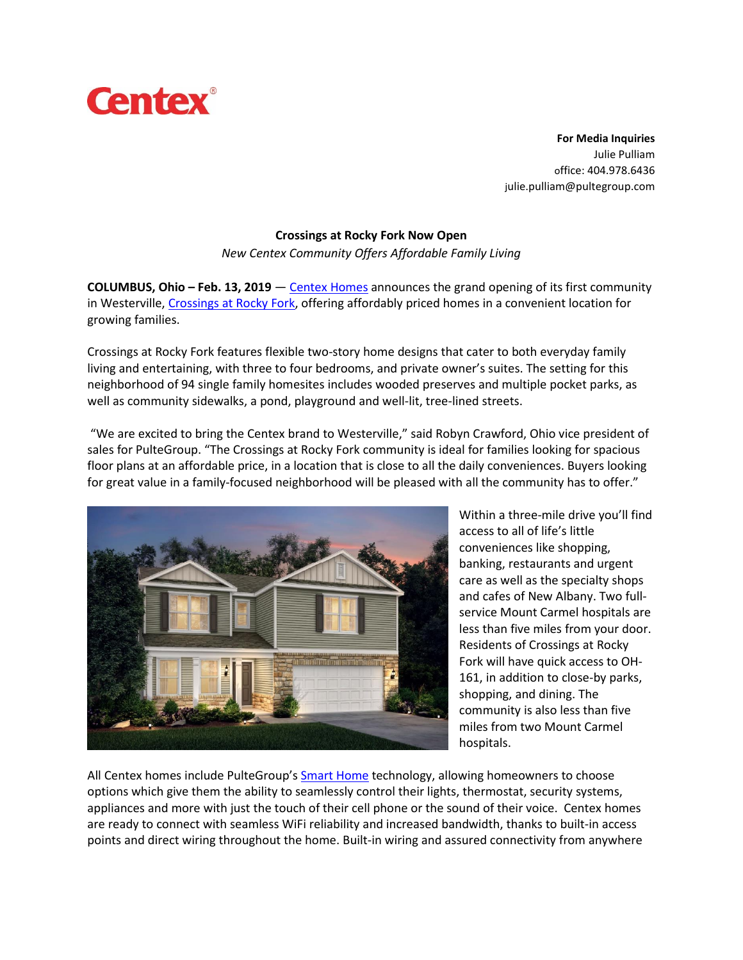

**For Media Inquiries** Julie Pulliam office: 404.978.6436 julie.pulliam@pultegroup.com

## **Crossings at Rocky Fork Now Open**

*New Centex Community Offers Affordable Family Living*

**COLUMBUS, Ohio – Feb. 13, 2019** — Centex [Homes](https://www.centex.com/build) announces the grand opening of its first community in Westerville, [Crossings](https://www.centex.com/homes/ohio/the-columbus-area/westerville/crossings-at-rocky-fork-210177) at Rocky Fork, offering affordably priced homes in a convenient location for growing families.

Crossings at Rocky Fork features flexible two-story home designs that cater to both everyday family living and entertaining, with three to four bedrooms, and private owner's suites. The setting for this neighborhood of 94 single family homesites includes wooded preserves and multiple pocket parks, as well as community sidewalks, a pond, playground and well-lit, tree-lined streets.

"We are excited to bring the Centex brand to Westerville," said Robyn Crawford, Ohio vice president of sales for PulteGroup. "The Crossings at Rocky Fork community is ideal for families looking for spacious floor plans at an affordable price, in a location that is close to all the daily conveniences. Buyers looking for great value in a family-focused neighborhood will be pleased with all the community has to offer."



Within a three-mile drive you'll find access to all of life's little conveniences like shopping, banking, restaurants and urgent care as well as the specialty shops and cafes of New Albany. Two fullservice Mount Carmel hospitals are less than five miles from your door. Residents of Crossings at Rocky Fork will have quick access to OH-161, in addition to close-by parks, shopping, and dining. The community is also less than five miles from two Mount Carmel hospitals.

All Centex homes include PulteGroup's **Smart [Home](https://www.pulte.com/pulte-smart-home) technology**, allowing homeowners to choose options which give them the ability to seamlessly control their lights, thermostat, security systems, appliances and more with just the touch of their cell phone or the sound of their voice. Centex homes are ready to connect with seamless WiFi reliability and increased bandwidth, thanks to built-in access points and direct wiring throughout the home. Built-in wiring and assured connectivity from anywhere